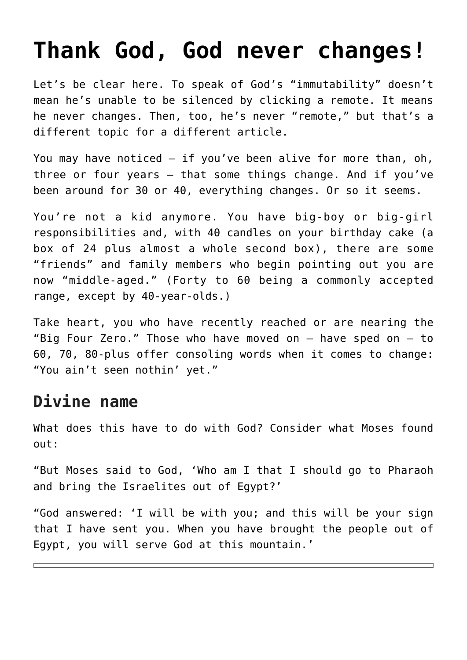## **[Thank God, God never changes!](https://www.osvnews.com/2018/08/15/thank-god-god-never-changes/)**

Let's be clear here. To speak of God's "immutability" doesn't mean he's unable to be silenced by clicking a remote. It means he never changes. Then, too, he's never "remote," but that's a different topic for a different article.

You may have noticed — if you've been alive for more than, oh, three or four years — that some things change. And if you've been around for 30 or 40, everything changes. Or so it seems.

You're not a kid anymore. You have big-boy or big-girl responsibilities and, with 40 candles on your birthday cake (a box of 24 plus almost a whole second box), there are some "friends" and family members who begin pointing out you are now "middle-aged." (Forty to 60 being a commonly accepted range, except by 40-year-olds.)

Take heart, you who have recently reached or are nearing the "Big Four Zero." Those who have moved on — have sped on — to 60, 70, 80-plus offer consoling words when it comes to change: "You ain't seen nothin' yet."

## **Divine name**

What does this have to do with God? Consider what Moses found out:

"But Moses said to God, 'Who am I that I should go to Pharaoh and bring the Israelites out of Egypt?'

"God answered: 'I will be with you; and this will be your sign that I have sent you. When you have brought the people out of Egypt, you will serve God at this mountain.'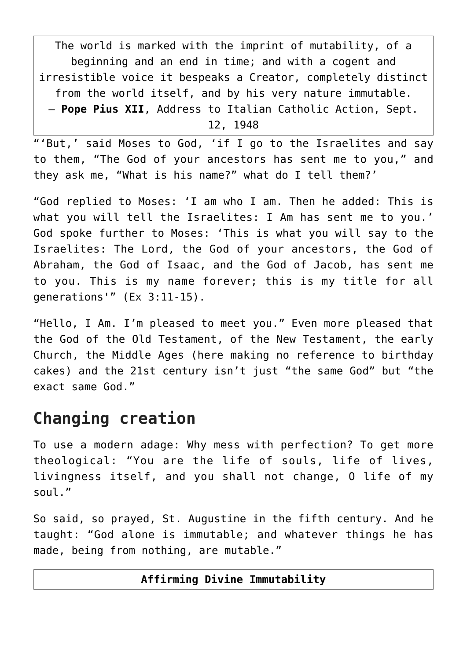The world is marked with the imprint of mutability, of a beginning and an end in time; and with a cogent and irresistible voice it bespeaks a Creator, completely distinct from the world itself, and by his very nature immutable. — **Pope Pius XII**, Address to Italian Catholic Action, Sept. 12, 1948

"'But,' said Moses to God, 'if I go to the Israelites and say to them, "The God of your ancestors has sent me to you," and they ask me, "What is his name?" what do I tell them?'

"God replied to Moses: 'I am who I am. Then he added: This is what you will tell the Israelites: I Am has sent me to you.' God spoke further to Moses: 'This is what you will say to the Israelites: The Lord, the God of your ancestors, the God of Abraham, the God of Isaac, and the God of Jacob, has sent me to you. This is my name forever; this is my title for all generations'" (Ex 3:11-15).

"Hello, I Am. I'm pleased to meet you." Even more pleased that the God of the Old Testament, of the New Testament, the early Church, the Middle Ages (here making no reference to birthday cakes) and the 21st century isn't just "the same God" but "the exact same God."

## **Changing creation**

To use a modern adage: Why mess with perfection? To get more theological: "You are the life of souls, life of lives, livingness itself, and you shall not change, O life of my soul."

So said, so prayed, St. Augustine in the fifth century. And he taught: "God alone is immutable; and whatever things he has made, being from nothing, are mutable."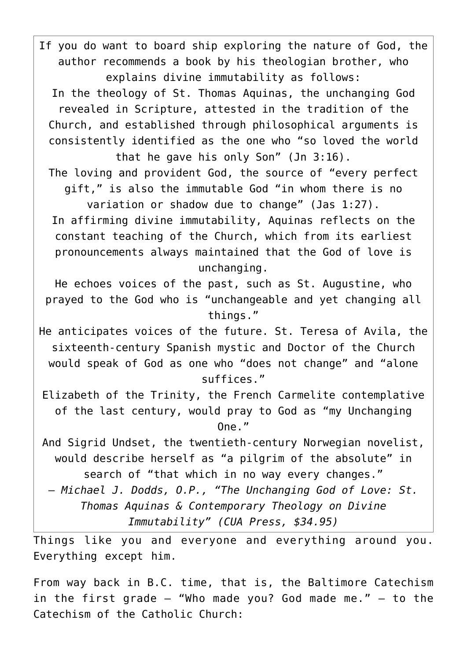If you do want to board ship exploring the nature of God, the author recommends a book by his theologian brother, who explains divine immutability as follows:

In the theology of St. Thomas Aquinas, the unchanging God revealed in Scripture, attested in the tradition of the Church, and established through philosophical arguments is consistently identified as the one who "so loved the world that he gave his only Son" (Jn 3:16).

The loving and provident God, the source of "every perfect gift," is also the immutable God "in whom there is no

variation or shadow due to change" (Jas 1:27). In affirming divine immutability, Aquinas reflects on the constant teaching of the Church, which from its earliest pronouncements always maintained that the God of love is unchanging.

He echoes voices of the past, such as St. Augustine, who prayed to the God who is "unchangeable and yet changing all things."

He anticipates voices of the future. St. Teresa of Avila, the sixteenth-century Spanish mystic and Doctor of the Church would speak of God as one who "does not change" and "alone suffices."

Elizabeth of the Trinity, the French Carmelite contemplative of the last century, would pray to God as "my Unchanging  $One.$ "

And Sigrid Undset, the twentieth-century Norwegian novelist, would describe herself as "a pilgrim of the absolute" in search of "that which in no way every changes."

*— Michael J. Dodds, O.P., "The Unchanging God of Love: St. Thomas Aquinas & Contemporary Theology on Divine Immutability" (CUA Press, \$34.95)*

Things like you and everyone and everything around you. Everything except him.

From way back in B.C. time, that is, the Baltimore Catechism in the first grade  $-$  "Who made you? God made me."  $-$  to the Catechism of the Catholic Church: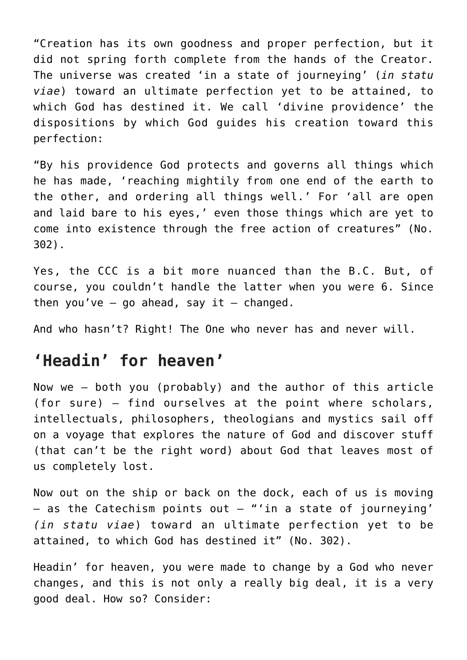"Creation has its own goodness and proper perfection, but it did not spring forth complete from the hands of the Creator. The universe was created 'in a state of journeying' (*in statu viae*) toward an ultimate perfection yet to be attained, to which God has destined it. We call 'divine providence' the dispositions by which God guides his creation toward this perfection:

"By his providence God protects and governs all things which he has made, 'reaching mightily from one end of the earth to the other, and ordering all things well.' For 'all are open and laid bare to his eyes,' even those things which are yet to come into existence through the free action of creatures" (No. 302).

Yes, the CCC is a bit more nuanced than the B.C. But, of course, you couldn't handle the latter when you were 6. Since then you've  $-$  go ahead, say it  $-$  changed.

And who hasn't? Right! The One who never has and never will.

## **'Headin' for heaven'**

Now we — both you (probably) and the author of this article (for sure) — find ourselves at the point where scholars, intellectuals, philosophers, theologians and mystics sail off on a voyage that explores the nature of God and discover stuff (that can't be the right word) about God that leaves most of us completely lost.

Now out on the ship or back on the dock, each of us is moving  $-$  as the Catechism points out  $-$  "'in a state of journeying' *(in statu viae*) toward an ultimate perfection yet to be attained, to which God has destined it" (No. 302).

Headin' for heaven, you were made to change by a God who never changes, and this is not only a really big deal, it is a very good deal. How so? Consider: